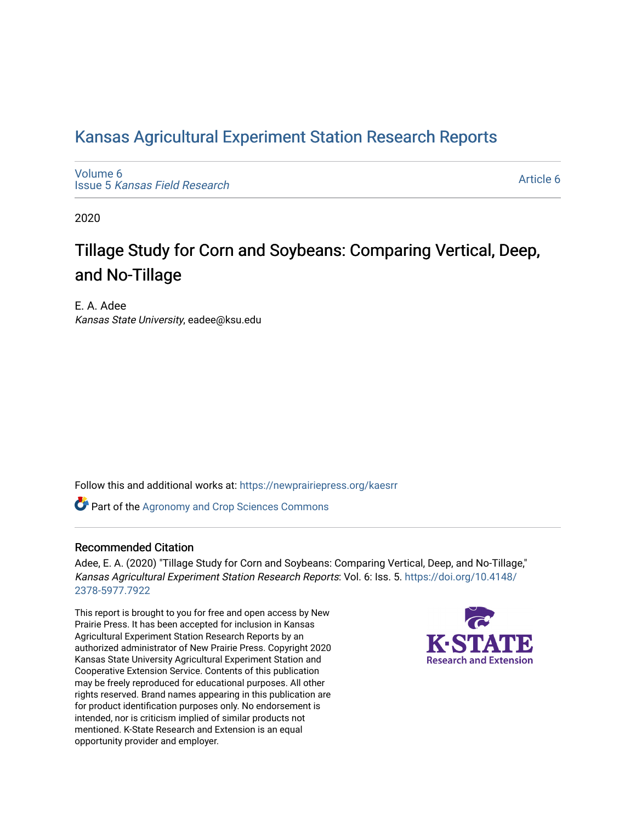# [Kansas Agricultural Experiment Station Research Reports](https://newprairiepress.org/kaesrr)

[Volume 6](https://newprairiepress.org/kaesrr/vol6) Issue 5 [Kansas Field Research](https://newprairiepress.org/kaesrr/vol6/iss5) 

[Article 6](https://newprairiepress.org/kaesrr/vol6/iss5/6) 

2020

# Tillage Study for Corn and Soybeans: Comparing Vertical, Deep, and No-Tillage

E. A. Adee Kansas State University, eadee@ksu.edu

Follow this and additional works at: [https://newprairiepress.org/kaesrr](https://newprairiepress.org/kaesrr?utm_source=newprairiepress.org%2Fkaesrr%2Fvol6%2Fiss5%2F6&utm_medium=PDF&utm_campaign=PDFCoverPages) 

**Part of the Agronomy and Crop Sciences Commons** 

# Recommended Citation

Adee, E. A. (2020) "Tillage Study for Corn and Soybeans: Comparing Vertical, Deep, and No-Tillage," Kansas Agricultural Experiment Station Research Reports: Vol. 6: Iss. 5. [https://doi.org/10.4148/](https://doi.org/10.4148/2378-5977.7922) [2378-5977.7922](https://doi.org/10.4148/2378-5977.7922) 

This report is brought to you for free and open access by New Prairie Press. It has been accepted for inclusion in Kansas Agricultural Experiment Station Research Reports by an authorized administrator of New Prairie Press. Copyright 2020 Kansas State University Agricultural Experiment Station and Cooperative Extension Service. Contents of this publication may be freely reproduced for educational purposes. All other rights reserved. Brand names appearing in this publication are for product identification purposes only. No endorsement is intended, nor is criticism implied of similar products not mentioned. K-State Research and Extension is an equal opportunity provider and employer.

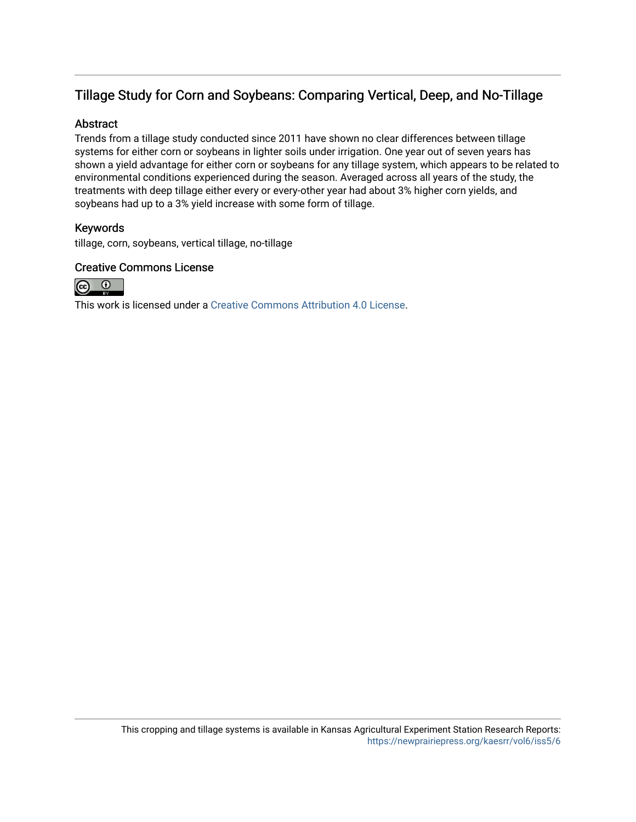# Tillage Study for Corn and Soybeans: Comparing Vertical, Deep, and No-Tillage

# Abstract

Trends from a tillage study conducted since 2011 have shown no clear differences between tillage systems for either corn or soybeans in lighter soils under irrigation. One year out of seven years has shown a yield advantage for either corn or soybeans for any tillage system, which appears to be related to environmental conditions experienced during the season. Averaged across all years of the study, the treatments with deep tillage either every or every-other year had about 3% higher corn yields, and soybeans had up to a 3% yield increase with some form of tillage.

# Keywords

tillage, corn, soybeans, vertical tillage, no-tillage

# Creative Commons License



This work is licensed under a [Creative Commons Attribution 4.0 License](https://creativecommons.org/licenses/by/4.0/).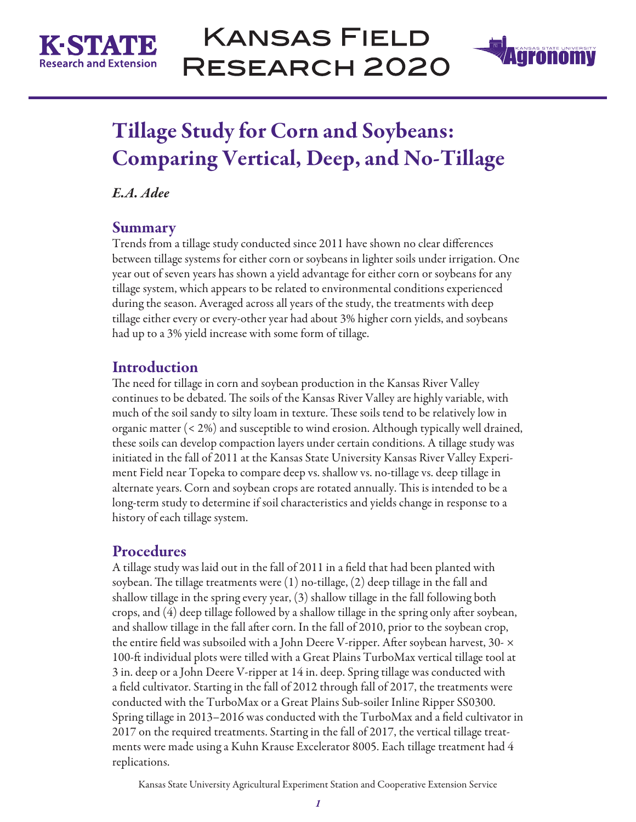



# Tillage Study for Corn and Soybeans: Comparing Vertical, Deep, and No-Tillage

*E.A. Adee*

# **Summary**

Trends from a tillage study conducted since 2011 have shown no clear differences between tillage systems for either corn or soybeans in lighter soils under irrigation. One year out of seven years has shown a yield advantage for either corn or soybeans for any tillage system, which appears to be related to environmental conditions experienced during the season. Averaged across all years of the study, the treatments with deep tillage either every or every-other year had about 3% higher corn yields, and soybeans had up to a 3% yield increase with some form of tillage.

# Introduction

The need for tillage in corn and soybean production in the Kansas River Valley continues to be debated. The soils of the Kansas River Valley are highly variable, with much of the soil sandy to silty loam in texture. These soils tend to be relatively low in organic matter (< 2%) and susceptible to wind erosion. Although typically well drained, these soils can develop compaction layers under certain conditions. A tillage study was initiated in the fall of 2011 at the Kansas State University Kansas River Valley Experiment Field near Topeka to compare deep vs. shallow vs. no-tillage vs. deep tillage in alternate years. Corn and soybean crops are rotated annually. This is intended to be a long-term study to determine if soil characteristics and yields change in response to a history of each tillage system.

# Procedures

A tillage study was laid out in the fall of 2011 in a field that had been planted with soybean. The tillage treatments were (1) no-tillage, (2) deep tillage in the fall and shallow tillage in the spring every year, (3) shallow tillage in the fall following both crops, and (4) deep tillage followed by a shallow tillage in the spring only after soybean, and shallow tillage in the fall after corn. In the fall of 2010, prior to the soybean crop, the entire field was subsoiled with a John Deere V-ripper. After soybean harvest,  $30\text{-} \times$ 100-ft individual plots were tilled with a Great Plains TurboMax vertical tillage tool at 3 in. deep or a John Deere V-ripper at 14 in. deep. Spring tillage was conducted with a field cultivator. Starting in the fall of 2012 through fall of 2017, the treatments were conducted with the TurboMax or a Great Plains Sub-soiler Inline Ripper SS0300. Spring tillage in 2013–2016 was conducted with the TurboMax and a field cultivator in 2017 on the required treatments. Starting in the fall of 2017, the vertical tillage treatments were made using a Kuhn Krause Excelerator 8005. Each tillage treatment had 4 replications.

Kansas State University Agricultural Experiment Station and Cooperative Extension Service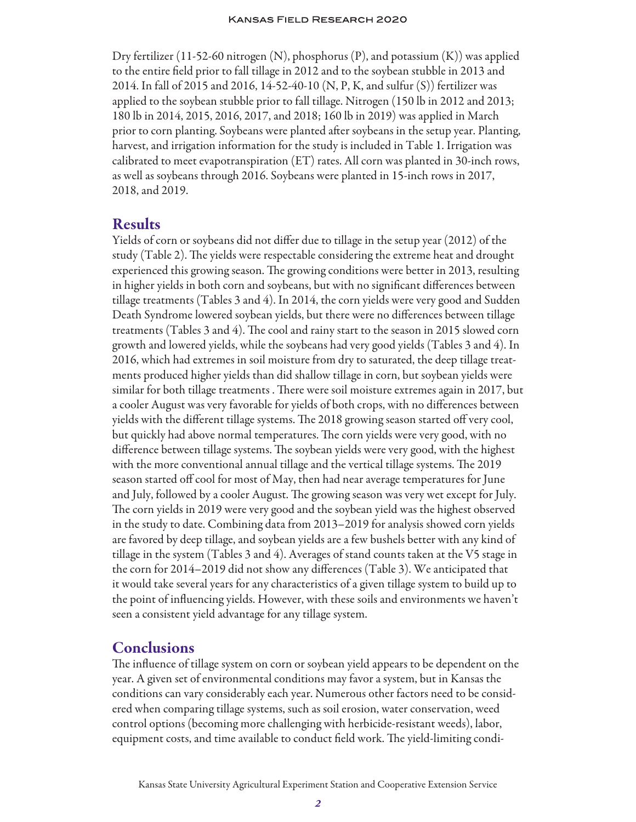Dry fertilizer (11-52-60 nitrogen (N), phosphorus (P), and potassium (K)) was applied to the entire field prior to fall tillage in 2012 and to the soybean stubble in 2013 and 2014. In fall of 2015 and 2016, 14-52-40-10 (N, P, K, and sulfur (S)) fertilizer was applied to the soybean stubble prior to fall tillage. Nitrogen (150 lb in 2012 and 2013; 180 lb in 2014, 2015, 2016, 2017, and 2018; 160 lb in 2019) was applied in March prior to corn planting. Soybeans were planted after soybeans in the setup year. Planting, harvest, and irrigation information for the study is included in Table 1. Irrigation was calibrated to meet evapotranspiration (ET) rates. All corn was planted in 30-inch rows, as well as soybeans through 2016. Soybeans were planted in 15-inch rows in 2017, 2018, and 2019.

# Results

Yields of corn or soybeans did not differ due to tillage in the setup year (2012) of the study (Table 2). The yields were respectable considering the extreme heat and drought experienced this growing season. The growing conditions were better in 2013, resulting in higher yields in both corn and soybeans, but with no significant differences between tillage treatments (Tables 3 and 4). In 2014, the corn yields were very good and Sudden Death Syndrome lowered soybean yields, but there were no differences between tillage treatments (Tables 3 and 4). The cool and rainy start to the season in 2015 slowed corn growth and lowered yields, while the soybeans had very good yields (Tables 3 and 4). In 2016, which had extremes in soil moisture from dry to saturated, the deep tillage treatments produced higher yields than did shallow tillage in corn, but soybean yields were similar for both tillage treatments . There were soil moisture extremes again in 2017, but a cooler August was very favorable for yields of both crops, with no differences between yields with the different tillage systems. The 2018 growing season started off very cool, but quickly had above normal temperatures. The corn yields were very good, with no difference between tillage systems. The soybean yields were very good, with the highest with the more conventional annual tillage and the vertical tillage systems. The 2019 season started off cool for most of May, then had near average temperatures for June and July, followed by a cooler August. The growing season was very wet except for July. The corn yields in 2019 were very good and the soybean yield was the highest observed in the study to date. Combining data from 2013–2019 for analysis showed corn yields are favored by deep tillage, and soybean yields are a few bushels better with any kind of tillage in the system (Tables 3 and 4). Averages of stand counts taken at the V5 stage in the corn for 2014–2019 did not show any differences (Table 3). We anticipated that it would take several years for any characteristics of a given tillage system to build up to the point of influencing yields. However, with these soils and environments we haven't seen a consistent yield advantage for any tillage system.

# **Conclusions**

The influence of tillage system on corn or soybean yield appears to be dependent on the year. A given set of environmental conditions may favor a system, but in Kansas the conditions can vary considerably each year. Numerous other factors need to be considered when comparing tillage systems, such as soil erosion, water conservation, weed control options (becoming more challenging with herbicide-resistant weeds), labor, equipment costs, and time available to conduct field work. The yield-limiting condi-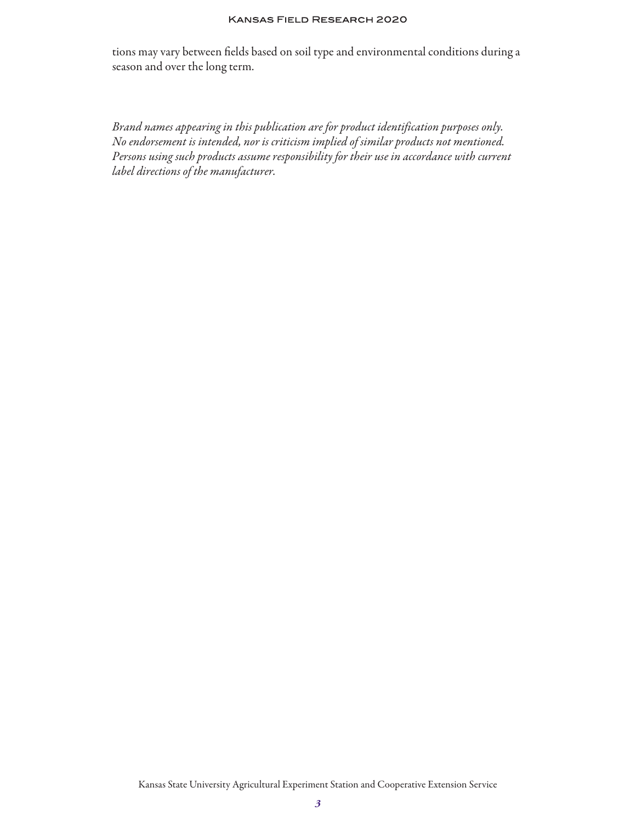#### **KANSAS FIELD RESEARCH 2020**

tions may vary between fields based on soil type and environmental conditions during a season and over the long term.

*Brand names appearing in this publication are for product identification purposes only. No endorsement is intended, nor is criticism implied of similar products not mentioned. Persons using such products assume responsibility for their use in accordance with current label directions of the manufacturer.*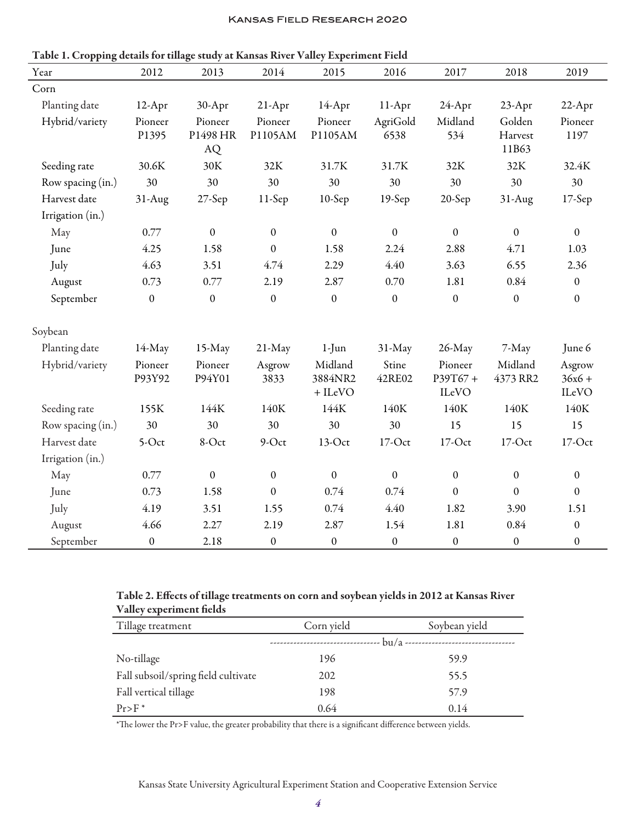| Year              | 2012              | 2013                      | 2014               | 2015                            | 2016             | 2017                        | 2018                       | 2019                        |
|-------------------|-------------------|---------------------------|--------------------|---------------------------------|------------------|-----------------------------|----------------------------|-----------------------------|
| Corn              |                   |                           |                    |                                 |                  |                             |                            |                             |
| Planting date     | 12-Apr            | 30-Apr                    | $21-Apr$           | 14-Apr                          | 11-Apr           | 24-Apr                      | 23-Apr                     | 22-Apr                      |
| Hybrid/variety    | Pioneer<br>P1395  | Pioneer<br>P1498 HR<br>AQ | Pioneer<br>P1105AM | Pioneer<br>P1105AM              | AgriGold<br>6538 | Midland<br>534              | Golden<br>Harvest<br>11B63 | Pioneer<br>1197             |
| Seeding rate      | 30.6K             | 30K                       | 32K                | 31.7K                           | 31.7K            | 32K                         | 32K                        | 32.4K                       |
| Row spacing (in.) | 30                | 30                        | 30                 | 30                              | 30               | 30                          | 30                         | 30                          |
| Harvest date      | $31-Aug$          | $27-$ Sep                 | $11-Sep$           | $10-$ Sep                       | $19-Sep$         | 20-Sep                      | $31-Aug$                   | $17-$ Sep                   |
| Irrigation (in.)  |                   |                           |                    |                                 |                  |                             |                            |                             |
| May               | 0.77              | $\boldsymbol{0}$          | $\boldsymbol{0}$   | $\boldsymbol{0}$                | $\mathbf{0}$     | $\boldsymbol{0}$            | $\boldsymbol{0}$           | $\boldsymbol{0}$            |
| June              | 4.25              | 1.58                      | $\boldsymbol{0}$   | 1.58                            | 2.24             | 2.88                        | 4.71                       | 1.03                        |
| July              | 4.63              | 3.51                      | 4.74               | 2.29                            | 4.40             | 3.63                        | 6.55                       | 2.36                        |
| August            | 0.73              | 0.77                      | 2.19               | 2.87                            | 0.70             | 1.81                        | 0.84                       | $\boldsymbol{0}$            |
| September         | $\boldsymbol{0}$  | $\boldsymbol{0}$          | $\mathbf{0}$       | $\mathbf{0}$                    | $\boldsymbol{0}$ | $\boldsymbol{0}$            | $\boldsymbol{0}$           | $\mathbf{0}$                |
| Soybean           |                   |                           |                    |                                 |                  |                             |                            |                             |
| Planting date     | 14-May            | 15-May                    | 21-May             | $1-J$ un                        | 31-May           | 26-May                      | 7-May                      | June 6                      |
| Hybrid/variety    | Pioneer<br>P93Y92 | Pioneer<br>P94Y01         | Asgrow<br>3833     | Midland<br>3884NR2<br>$+$ ILeVO | Stine<br>42RE02  | Pioneer<br>P39T67+<br>ILeVO | Midland<br>4373 RR2        | Asgrow<br>$36x6 +$<br>ILeVO |
| Seeding rate      | 155K              | 144K                      | 140K               | 144K                            | 140K             | 140K                        | 140K                       | 140K                        |
| Row spacing (in.) | 30                | 30                        | 30                 | 30                              | 30               | 15                          | 15                         | 15                          |
| Harvest date      | 5-Oct             | 8-Oct                     | $9-Oct$            | 13-Oct                          | $17$ -Oct        | $17$ -Oct                   | 17-Oct                     | $17$ -Oct                   |
| Irrigation (in.)  |                   |                           |                    |                                 |                  |                             |                            |                             |
| May               | 0.77              | $\boldsymbol{0}$          | $\mathbf{0}$       | $\boldsymbol{0}$                | $\boldsymbol{0}$ | $\boldsymbol{0}$            | $\boldsymbol{0}$           | $\mathbf{0}$                |
| June              | 0.73              | 1.58                      | $\boldsymbol{0}$   | 0.74                            | 0.74             | $\boldsymbol{0}$            | $\mathbf{0}$               | $\boldsymbol{0}$            |
| July              | 4.19              | 3.51                      | 1.55               | 0.74                            | 4.40             | 1.82                        | 3.90                       | 1.51                        |
| August            | 4.66              | 2.27                      | 2.19               | 2.87                            | 1.54             | 1.81                        | 0.84                       | $\boldsymbol{0}$            |
| September         | $\boldsymbol{0}$  | 2.18                      | $\boldsymbol{0}$   | $\boldsymbol{0}$                | $\boldsymbol{0}$ | $\boldsymbol{0}$            | $\boldsymbol{0}$           | $\boldsymbol{0}$            |

Table 1. Cropping details for tillage study at Kansas River Valley Experiment Field

#### Table 2. Effects of tillage treatments on corn and soybean yields in 2012 at Kansas River Valley experiment fields

| Tillage treatment                   | Corn yield                 | Soybean yield |  |  |
|-------------------------------------|----------------------------|---------------|--|--|
|                                     | -------------------------- |               |  |  |
| No-tillage                          | 196                        | 59.9          |  |  |
| Fall subsoil/spring field cultivate | 202                        | 55.5          |  |  |
| Fall vertical tillage               | 198                        | 57.9          |  |  |
| $Pr$ >F $*$                         | 0.64                       | 0.14          |  |  |

\*The lower the Pr>F value, the greater probability that there is a significant difference between yields.

Kansas State University Agricultural Experiment Station and Cooperative Extension Service